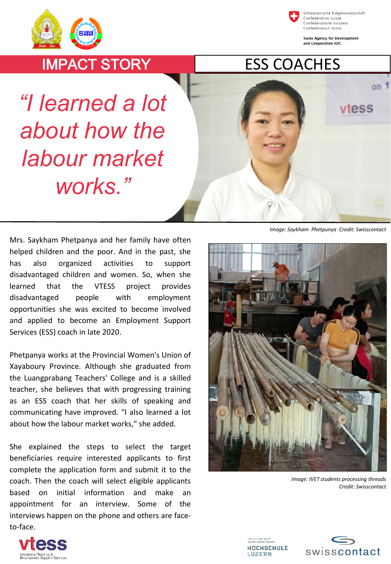



Schweizerische Eidgenossenschaft Confédération suisse Confederazione Svizzera Confederaziun svizra

**Swiss Agency for Development** and Cooperation SDC

 $on$ 

vtess

## IMPACT STORY

## ESS COACHES

*"I learned a lot about how the labour market works."*

Mrs. Saykham Phetpanya and her family have often helped children and the poor. And in the past, she has also organized activities to support disadvantaged children and women. So, when she learned that the VTESS project provides disadvantaged people with employment opportunities she was excited to become involved and applied to become an Employment Support Services (ESS) coach in late 2020.

Phetpanya works at the Provincial Women's Union of Xayaboury Province. Although she graduated from the Luangprabang Teachers' College and is a skilled teacher, she believes that with progressing training as an ESS coach that her skills of speaking and communicating have improved. "I also learned a lot about how the labour market works," she added.

She explained the steps to select the target beneficiaries require interested applicants to first complete the application form and submit it to the coach. Then the coach will select eligible applicants based on initial information and make an appointment for an interview. Some of the interviews happen on the phone and others are faceto-face.





*Image: IVET students processing threads Credit: Swisscontact*